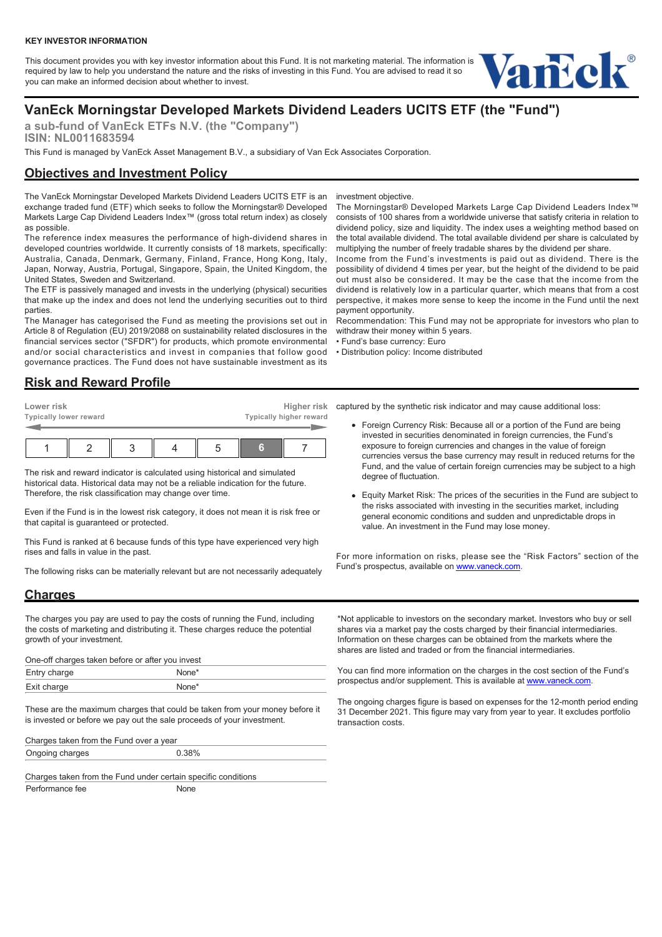#### **KEY INVESTOR INFORMATION**

This document provides you with key investor information about this Fund. It is not marketing material. The information is required by law to help you understand the nature and the risks of investing in this Fund. You are advised to read it so you can make an informed decision about whether to invest.



# **VanEck Morningstar Developed Markets Dividend Leaders UCITS ETF (the "Fund")**

**a sub-fund of VanEck ETFs N.V. (the "Company") ISIN: NL0011683594**

This Fund is managed by VanEck Asset Management B.V., a subsidiary of Van Eck Associates Corporation.

# **Objectives and Investment Policy**

The VanEck Morningstar Developed Markets Dividend Leaders UCITS ETF is an exchange traded fund (ETF) which seeks to follow the Morningstar® Developed Markets Large Cap Dividend Leaders Index™ (gross total return index) as closely as possible.

The reference index measures the performance of high-dividend shares in developed countries worldwide. It currently consists of 18 markets, specifically: Australia, Canada, Denmark, Germany, Finland, France, Hong Kong, Italy, Japan, Norway, Austria, Portugal, Singapore, Spain, the United Kingdom, the United States, Sweden and Switzerland.

The ETF is passively managed and invests in the underlying (physical) securities that make up the index and does not lend the underlying securities out to third parties.

The Manager has categorised the Fund as meeting the provisions set out in Article 8 of Regulation (EU) 2019/2088 on sustainability related disclosures in the financial services sector ("SFDR") for products, which promote environmental and/or social characteristics and invest in companies that follow good governance practices. The Fund does not have sustainable investment as its

investment objective.

The Morningstar® Developed Markets Large Cap Dividend Leaders Index™ consists of 100 shares from a worldwide universe that satisfy criteria in relation to dividend policy, size and liquidity. The index uses a weighting method based on the total available dividend. The total available dividend per share is calculated by multiplying the number of freely tradable shares by the dividend per share.

Income from the Fund's investments is paid out as dividend. There is the possibility of dividend 4 times per year, but the height of the dividend to be paid out must also be considered. It may be the case that the income from the dividend is relatively low in a particular quarter, which means that from a cost perspective, it makes more sense to keep the income in the Fund until the next payment opportunity.

Recommendation: This Fund may not be appropriate for investors who plan to withdraw their money within 5 years.

• Fund's base currency: Euro

• Distribution policy: Income distributed

### **Risk and Reward Profile**

| Lower risk | <b>Typically lower reward</b> |  | Higher risk<br>Typically higher reward |   |  |  |  |
|------------|-------------------------------|--|----------------------------------------|---|--|--|--|
|            |                               |  |                                        | G |  |  |  |

The risk and reward indicator is calculated using historical and simulated historical data. Historical data may not be a reliable indication for the future. Therefore, the risk classification may change over time.

Even if the Fund is in the lowest risk category, it does not mean it is risk free or that capital is guaranteed or protected.

This Fund is ranked at 6 because funds of this type have experienced very high rises and falls in value in the past.

The following risks can be materially relevant but are not necessarily adequately

captured by the synthetic risk indicator and may cause additional loss:

- Foreign Currency Risk: Because all or a portion of the Fund are being invested in securities denominated in foreign currencies, the Fund's exposure to foreign currencies and changes in the value of foreign currencies versus the base currency may result in reduced returns for the Fund, and the value of certain foreign currencies may be subject to a high degree of fluctuation.
- Equity Market Risk: The prices of the securities in the Fund are subject to the risks associated with investing in the securities market, including general economic conditions and sudden and unpredictable drops in value. An investment in the Fund may lose money.

For more information on risks, please see the "Risk Factors" section of the Fund's prospectus, available on [www.vaneck.com.](https://www.vaneck.com)

# **Charges**

The charges you pay are used to pay the costs of running the Fund, including the costs of marketing and distributing it. These charges reduce the potential growth of your investment.

| One-off charges taken before or after you invest |                   |  |  |  |
|--------------------------------------------------|-------------------|--|--|--|
| Entry charge                                     | None <sup>*</sup> |  |  |  |
| Exit charge                                      | None <sup>*</sup> |  |  |  |

These are the maximum charges that could be taken from your money before it is invested or before we pay out the sale proceeds of your investment.

Charges taken from the Fund over a year Ongoing charges 0.38%

Charges taken from the Fund under certain specific conditions Performance fee None

\*Not applicable to investors on the secondary market. Investors who buy or sell shares via a market pay the costs charged by their financial intermediaries. Information on these charges can be obtained from the markets where the shares are listed and traded or from the financial intermediaries.

You can find more information on the charges in the cost section of the Fund's prospectus and/or supplement. This is available at [www.vaneck.com](https://www.vaneck.com).

The ongoing charges figure is based on expenses for the 12-month period ending 31 December 2021. This figure may vary from year to year. It excludes portfolio transaction costs.